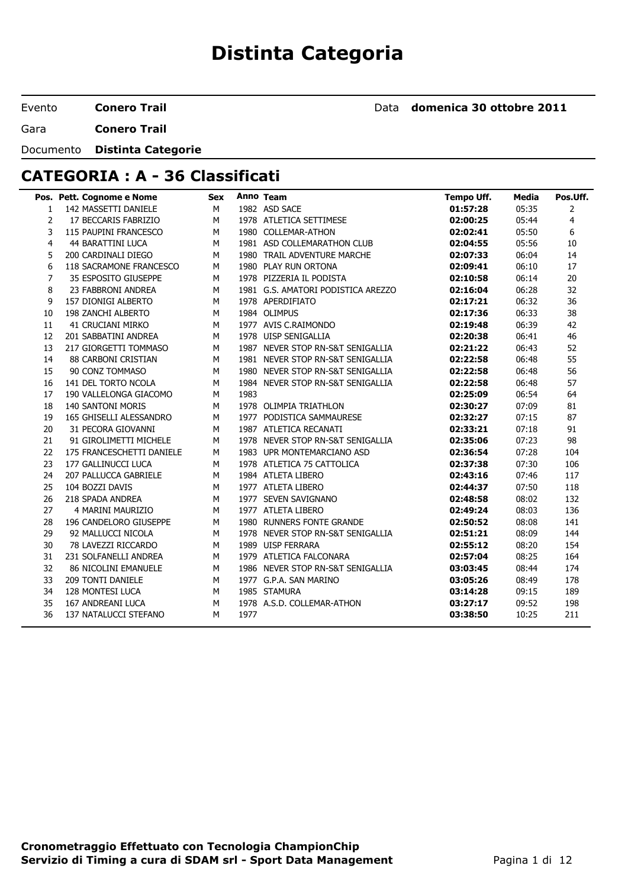# **Distinta Categoria**

Evento **Conero Trail**

Data **domenica 30 ottobre 2011**

Gara **Conero Trail**

#### Documento **Distinta Categorie**

# **CATEGORIA : A - 36 Classificati**

|                       | Pos. Pett. Cognome e Nome   | <b>Sex</b> |      | Anno Team                          | <b>Tempo Uff.</b> | <b>Media</b> | Pos.Uff. |
|-----------------------|-----------------------------|------------|------|------------------------------------|-------------------|--------------|----------|
| $\mathbf{1}$          | 142 MASSETTI DANIELE        | M          |      | 1982 ASD SACE                      | 01:57:28          | 05:35        | 2        |
| $\mathbf{2}^{\prime}$ | 17 BECCARIS FABRIZIO        | M          |      | 1978 ATLETICA SETTIMESE            | 02:00:25          | 05:44        | 4        |
| 3                     | 115 PAUPINI FRANCESCO       | M          |      | 1980 COLLEMAR-ATHON                | 02:02:41          | 05:50        | 6        |
| 4                     | <b>44 BARATTINI LUCA</b>    | M          |      | 1981 ASD COLLEMARATHON CLUB        | 02:04:55          | 05:56        | 10       |
| 5                     | 200 CARDINALI DIEGO         | M          |      | 1980 TRAIL ADVENTURE MARCHE        | 02:07:33          | 06:04        | 14       |
| 6                     | 118 SACRAMONE FRANCESCO     | M          |      | 1980 PLAY RUN ORTONA               | 02:09:41          | 06:10        | 17       |
| $\overline{7}$        | 35 ESPOSITO GIUSEPPE        | M          |      | 1978 PIZZERIA IL PODISTA           | 02:10:58          | 06:14        | 20       |
| 8                     | 23 FABBRONI ANDREA          | M          |      | 1981 G.S. AMATORI PODISTICA AREZZO | 02:16:04          | 06:28        | 32       |
| 9                     | 157 DIONIGI ALBERTO         | M          |      | 1978 APERDIFIATO                   | 02:17:21          | 06:32        | 36       |
| 10                    | 198 ZANCHI ALBERTO          | M          |      | 1984 OLIMPUS                       | 02:17:36          | 06:33        | 38       |
| 11                    | <b>41 CRUCIANI MIRKO</b>    | M          |      | 1977 AVIS C.RAIMONDO               | 02:19:48          | 06:39        | 42       |
| 12                    | 201 SABBATINI ANDREA        | M          |      | 1978 UISP SENIGALLIA               | 02:20:38          | 06:41        | 46       |
| 13                    | 217 GIORGETTI TOMMASO       | М          |      | 1987 NEVER STOP RN-S&T SENIGALLIA  | 02:21:22          | 06:43        | 52       |
| 14                    | 88 CARBONI CRISTIAN         | М          |      | 1981 NEVER STOP RN-S&T SENIGALLIA  | 02:22:58          | 06:48        | 55       |
| 15                    | 90 CONZ TOMMASO             | M          |      | 1980 NEVER STOP RN-S&T SENIGALLIA  | 02:22:58          | 06:48        | 56       |
| 16                    | 141 DEL TORTO NCOLA         | M          |      | 1984 NEVER STOP RN-S&T SENIGALLIA  | 02:22:58          | 06:48        | 57       |
| 17                    | 190 VALLELONGA GIACOMO      | M          | 1983 |                                    | 02:25:09          | 06:54        | 64       |
| 18                    | <b>140 SANTONI MORIS</b>    | M          |      | 1978 OLIMPIA TRIATHLON             | 02:30:27          | 07:09        | 81       |
| 19                    | 165 GHISELLI ALESSANDRO     | М          |      | 1977 PODISTICA SAMMAURESE          | 02:32:27          | 07:15        | 87       |
| 20                    | 31 PECORA GIOVANNI          | M          |      | 1987 ATLETICA RECANATI             | 02:33:21          | 07:18        | 91       |
| 21                    | 91 GIROLIMETTI MICHELE      | M          |      | 1978 NEVER STOP RN-S&T SENIGALLIA  | 02:35:06          | 07:23        | 98       |
| 22                    | 175 FRANCESCHETTI DANIELE   | M          |      | 1983 UPR MONTEMARCIANO ASD         | 02:36:54          | 07:28        | 104      |
| 23                    | 177 GALLINUCCI LUCA         | М          |      | 1978 ATLETICA 75 CATTOLICA         | 02:37:38          | 07:30        | 106      |
| 24                    | 207 PALLUCCA GABRIELE       | M          |      | 1984 ATLETA LIBERO                 | 02:43:16          | 07:46        | 117      |
| 25                    | 104 BOZZI DAVIS             | M          |      | 1977 ATLETA LIBERO                 | 02:44:37          | 07:50        | 118      |
| 26                    | 218 SPADA ANDREA            | M          |      | 1977 SEVEN SAVIGNANO               | 02:48:58          | 08:02        | 132      |
| 27                    | 4 MARINI MAURIZIO           | M          |      | 1977 ATLETA LIBERO                 | 02:49:24          | 08:03        | 136      |
| 28                    | 196 CANDELORO GIUSEPPE      | M          |      | 1980 RUNNERS FONTE GRANDE          | 02:50:52          | 08:08        | 141      |
| 29                    | 92 MALLUCCI NICOLA          | M          |      | 1978 NEVER STOP RN-S&T SENIGALLIA  | 02:51:21          | 08:09        | 144      |
| 30                    | 78 LAVEZZI RICCARDO         | M          |      | 1989 UISP FERRARA                  | 02:55:12          | 08:20        | 154      |
| 31                    | 231 SOLFANELLI ANDREA       | М          |      | 1979 ATLETICA FALCONARA            | 02:57:04          | 08:25        | 164      |
| 32                    | <b>86 NICOLINI EMANUELE</b> | M          |      | 1986 NEVER STOP RN-S&T SENIGALLIA  | 03:03:45          | 08:44        | 174      |
| 33                    | 209 TONTI DANIELE           | M          |      | 1977 G.P.A. SAN MARINO             | 03:05:26          | 08:49        | 178      |
| 34                    | 128 MONTESI LUCA            | M          |      | 1985 STAMURA                       | 03:14:28          | 09:15        | 189      |
| 35                    | 167 ANDREANI LUCA           | M          |      | 1978 A.S.D. COLLEMAR-ATHON         | 03:27:17          | 09:52        | 198      |
| 36                    | 137 NATALUCCI STEFANO       | м          | 1977 |                                    | 03:38:50          | 10:25        | 211      |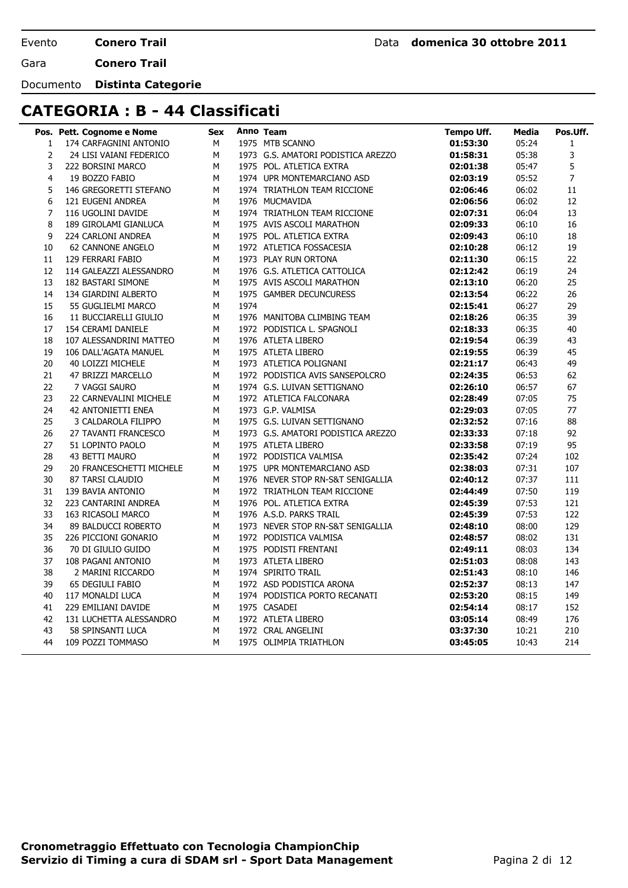**Conero Trail**

Gara **Conero Trail**

Documento **Distinta Categorie**

#### **CATEGORIA : B - 44 Classificati**

|                | Pos. Pett. Cognome e Nome | Sex |      | Anno Team                          | Tempo Uff. | Media | Pos.Uff.       |
|----------------|---------------------------|-----|------|------------------------------------|------------|-------|----------------|
| $\mathbf{1}$   | 174 CARFAGNINI ANTONIO    | М   |      | 1975 MTB SCANNO                    | 01:53:30   | 05:24 | $\mathbf{1}$   |
| $\overline{2}$ | 24 LISI VAIANI FEDERICO   | М   |      | 1973 G.S. AMATORI PODISTICA AREZZO | 01:58:31   | 05:38 | 3              |
| 3              | 222 BORSINI MARCO         | M   |      | 1975 POL. ATLETICA EXTRA           | 02:01:38   | 05:47 | 5              |
| $\overline{4}$ | 19 BOZZO FABIO            | M   |      | 1974 UPR MONTEMARCIANO ASD         | 02:03:19   | 05:52 | $\overline{7}$ |
| 5              | 146 GREGORETTI STEFANO    | M   |      | 1974 TRIATHLON TEAM RICCIONE       | 02:06:46   | 06:02 | 11             |
| 6              | 121 EUGENI ANDREA         | M   |      | 1976 MUCMAVIDA                     | 02:06:56   | 06:02 | 12             |
| $\overline{7}$ | 116 UGOLINI DAVIDE        | M   |      | 1974 TRIATHLON TEAM RICCIONE       | 02:07:31   | 06:04 | 13             |
| 8              | 189 GIROLAMI GIANLUCA     | М   |      | 1975 AVIS ASCOLI MARATHON          | 02:09:33   | 06:10 | 16             |
| 9              | 224 CARLONI ANDREA        | M   |      | 1975 POL. ATLETICA EXTRA           | 02:09:43   | 06:10 | 18             |
| 10             | <b>62 CANNONE ANGELO</b>  | М   |      | 1972 ATLETICA FOSSACESIA           | 02:10:28   | 06:12 | 19             |
| 11             | 129 FERRARI FABIO         | М   |      | 1973 PLAY RUN ORTONA               | 02:11:30   | 06:15 | 22             |
| 12             | 114 GALEAZZI ALESSANDRO   | M   |      | 1976 G.S. ATLETICA CATTOLICA       | 02:12:42   | 06:19 | 24             |
| 13             | 182 BASTARI SIMONE        | M   |      | 1975 AVIS ASCOLI MARATHON          | 02:13:10   | 06:20 | 25             |
| 14             | 134 GIARDINI ALBERTO      | M   |      | 1975 GAMBER DECUNCURESS            | 02:13:54   | 06:22 | 26             |
| 15             | 55 GUGLIELMI MARCO        | M   | 1974 |                                    | 02:15:41   | 06:27 | 29             |
| 16             | 11 BUCCIARELLI GIULIO     | M   |      | 1976 MANITOBA CLIMBING TEAM        | 02:18:26   | 06:35 | 39             |
| 17             | 154 CERAMI DANIELE        | M   |      | 1972 PODISTICA L. SPAGNOLI         | 02:18:33   | 06:35 | 40             |
| 18             | 107 ALESSANDRINI MATTEO   | М   |      | 1976 ATLETA LIBERO                 | 02:19:54   | 06:39 | 43             |
| 19             | 106 DALL'AGATA MANUEL     | М   |      | 1975 ATLETA LIBERO                 | 02:19:55   | 06:39 | 45             |
| 20             | 40 LOIZZI MICHELE         | М   |      | 1973 ATLETICA POLIGNANI            | 02:21:17   | 06:43 | 49             |
| 21             | 47 BRIZZI MARCELLO        | М   |      | 1972 PODISTICA AVIS SANSEPOLCRO    | 02:24:35   | 06:53 | 62             |
| 22             | 7 VAGGI SAURO             | М   |      | 1974 G.S. LUIVAN SETTIGNANO        | 02:26:10   | 06:57 | 67             |
| 23             | 22 CARNEVALINI MICHELE    | M   |      | 1972 ATLETICA FALCONARA            | 02:28:49   | 07:05 | 75             |
| 24             | <b>42 ANTONIETTI ENEA</b> | М   |      | 1973 G.P. VALMISA                  | 02:29:03   | 07:05 | 77             |
| 25             | 3 CALDAROLA FILIPPO       | М   |      | 1975 G.S. LUIVAN SETTIGNANO        | 02:32:52   | 07:16 | 88             |
| 26             | 27 TAVANTI FRANCESCO      | M   |      | 1973 G.S. AMATORI PODISTICA AREZZO | 02:33:33   | 07:18 | 92             |
| 27             | 51 LOPINTO PAOLO          | м   |      | 1975 ATLETA LIBERO                 | 02:33:58   | 07:19 | 95             |
| 28             | 43 BETTI MAURO            | М   |      | 1972 PODISTICA VALMISA             | 02:35:42   | 07:24 | 102            |
| 29             | 20 FRANCESCHETTI MICHELE  | М   |      | 1975 UPR MONTEMARCIANO ASD         | 02:38:03   | 07:31 | 107            |
| 30             | 87 TARSI CLAUDIO          | M   |      | 1976 NEVER STOP RN-S&T SENIGALLIA  | 02:40:12   | 07:37 | 111            |
| 31             | 139 BAVIA ANTONIO         | М   |      | 1972 TRIATHLON TEAM RICCIONE       | 02:44:49   | 07:50 | 119            |
| 32             | 223 CANTARINI ANDREA      | М   |      | 1976 POL. ATLETICA EXTRA           | 02:45:39   | 07:53 | 121            |
| 33             | 163 RICASOLI MARCO        | М   |      | 1976 A.S.D. PARKS TRAIL            | 02:45:39   | 07:53 | 122            |
| 34             | 89 BALDUCCI ROBERTO       | M   |      | 1973 NEVER STOP RN-S&T SENIGALLIA  | 02:48:10   | 08:00 | 129            |
| 35             | 226 PICCIONI GONARIO      | М   |      | 1972 PODISTICA VALMISA             | 02:48:57   | 08:02 | 131            |
| 36             | 70 DI GIULIO GUIDO        | М   |      | 1975 PODISTI FRENTANI              | 02:49:11   | 08:03 | 134            |
| 37             | 108 PAGANI ANTONIO        | М   |      | 1973 ATLETA LIBERO                 | 02:51:03   | 08:08 | 143            |
| 38             | 2 MARINI RICCARDO         | М   |      | 1974 SPIRITO TRAIL                 | 02:51:43   | 08:10 | 146            |
| 39             | 65 DEGIULI FABIO          | М   |      | 1972 ASD PODISTICA ARONA           | 02:52:37   | 08:13 | 147            |
| 40             | 117 MONALDI LUCA          | М   |      | 1974 PODISTICA PORTO RECANATI      | 02:53:20   | 08:15 | 149            |
| 41             | 229 EMILIANI DAVIDE       | М   |      | 1975 CASADEI                       | 02:54:14   | 08:17 | 152            |
| 42             | 131 LUCHETTA ALESSANDRO   | М   |      | 1972 ATLETA LIBERO                 | 03:05:14   | 08:49 | 176            |
| 43             | 58 SPINSANTI LUCA         | M   |      | 1972 CRAL ANGELINI                 | 03:37:30   | 10:21 | 210            |
| 44             | 109 POZZI TOMMASO         | M   |      | 1975 OLIMPIA TRIATHLON             | 03:45:05   | 10:43 | 214            |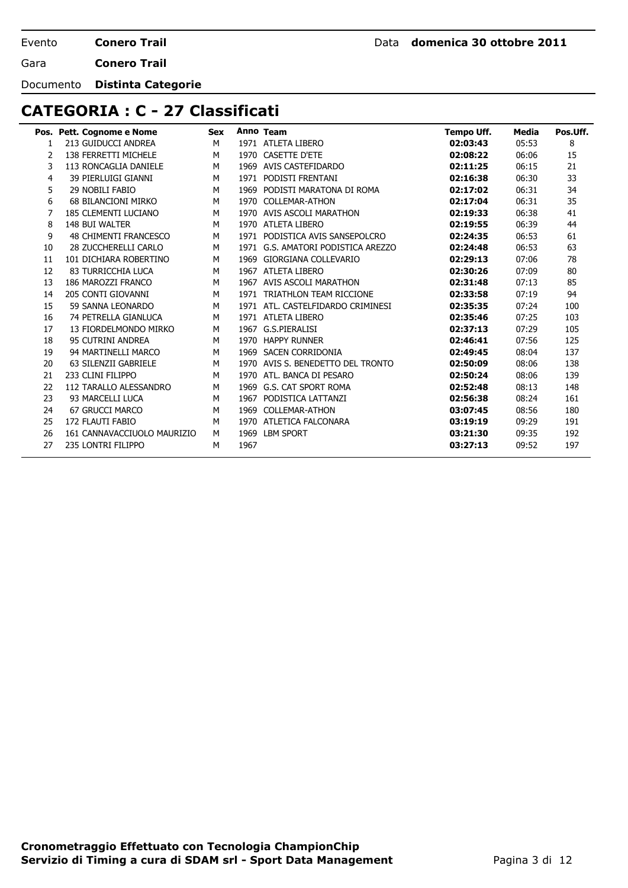**Conero Trail**

Gara **Conero Trail**

Documento **Distinta Categorie**

### **CATEGORIA : C - 27 Classificati**

|    | Pos. Pett. Cognome e Nome    | <b>Sex</b> |      | Anno Team                     | <b>Tempo Uff.</b> | Media | Pos.Uff. |
|----|------------------------------|------------|------|-------------------------------|-------------------|-------|----------|
| 1  | 213 GUIDUCCI ANDREA          | M          |      | 1971 ATLETA LIBERO            | 02:03:43          | 05:53 | 8        |
| 2  | 138 FERRETTI MICHELE         | M          | 1970 | <b>CASETTE D'ETE</b>          | 02:08:22          | 06:06 | 15       |
| 3  | 113 RONCAGLIA DANIELE        | M          | 1969 | AVIS CASTEFIDARDO             | 02:11:25          | 06:15 | 21       |
| 4  | 39 PIERLUIGI GIANNI          | M          | 1971 | PODISTI FRENTANI              | 02:16:38          | 06:30 | 33       |
| 5  | 29 NOBILI FABIO              | M          | 1969 | PODISTI MARATONA DI ROMA      | 02:17:02          | 06:31 | 34       |
| 6  | <b>68 BILANCIONI MIRKO</b>   | M          | 1970 | <b>COLLEMAR-ATHON</b>         | 02:17:04          | 06:31 | 35       |
| 7  | 185 CLEMENTI LUCIANO         | M          | 1970 | AVIS ASCOLI MARATHON          | 02:19:33          | 06:38 | 41       |
| 8  | 148 BUI WALTER               | M          | 1970 | <b>ATLETA LIBERO</b>          | 02:19:55          | 06:39 | 44       |
| 9  | <b>48 CHIMENTI FRANCESCO</b> | M          | 1971 | PODISTICA AVIS SANSEPOLCRO    | 02:24:35          | 06:53 | 61       |
| 10 | 28 ZUCCHERELLI CARLO         | M          | 1971 | G.S. AMATORI PODISTICA AREZZO | 02:24:48          | 06:53 | 63       |
| 11 | 101 DICHIARA ROBERTINO       | M          | 1969 | GIORGIANA COLLEVARIO          | 02:29:13          | 07:06 | 78       |
| 12 | 83 TURRICCHIA LUCA           | M          | 1967 | ATLETA LIBERO                 | 02:30:26          | 07:09 | 80       |
| 13 | 186 MAROZZI FRANCO           | M          | 1967 | AVIS ASCOLI MARATHON          | 02:31:48          | 07:13 | 85       |
| 14 | 205 CONTI GIOVANNI           | M          | 1971 | TRIATHLON TEAM RICCIONE       | 02:33:58          | 07:19 | 94       |
| 15 | 59 SANNA LEONARDO            | M          | 1971 | ATL. CASTELFIDARDO CRIMINESI  | 02:35:35          | 07:24 | 100      |
| 16 | 74 PETRELLA GIANLUCA         | M          | 1971 | ATLETA LIBERO                 | 02:35:46          | 07:25 | 103      |
| 17 | 13 FIORDELMONDO MIRKO        | M          | 1967 | G.S.PIERALISI                 | 02:37:13          | 07:29 | 105      |
| 18 | 95 CUTRINI ANDREA            | M          | 1970 | <b>HAPPY RUNNER</b>           | 02:46:41          | 07:56 | 125      |
| 19 | 94 MARTINELLI MARCO          | M          | 1969 | <b>SACEN CORRIDONIA</b>       | 02:49:45          | 08:04 | 137      |
| 20 | 63 SILENZII GABRIELE         | M          | 1970 | AVIS S. BENEDETTO DEL TRONTO  | 02:50:09          | 08:06 | 138      |
| 21 | 233 CLINI FILIPPO            | M          | 1970 | ATL. BANCA DI PESARO          | 02:50:24          | 08:06 | 139      |
| 22 | 112 TARALLO ALESSANDRO       | M          | 1969 | <b>G.S. CAT SPORT ROMA</b>    | 02:52:48          | 08:13 | 148      |
| 23 | 93 MARCELLI LUCA             | M          | 1967 | PODISTICA LATTANZI            | 02:56:38          | 08:24 | 161      |
| 24 | <b>67 GRUCCI MARCO</b>       | M          | 1969 | <b>COLLEMAR-ATHON</b>         | 03:07:45          | 08:56 | 180      |
| 25 | 172 FLAUTI FABIO             | M          | 1970 | ATLETICA FALCONARA            | 03:19:19          | 09:29 | 191      |
| 26 | 161 CANNAVACCIUOLO MAURIZIO  | M          | 1969 | <b>LBM SPORT</b>              | 03:21:30          | 09:35 | 192      |
| 27 | 235 LONTRI FILIPPO           | M          | 1967 |                               | 03:27:13          | 09:52 | 197      |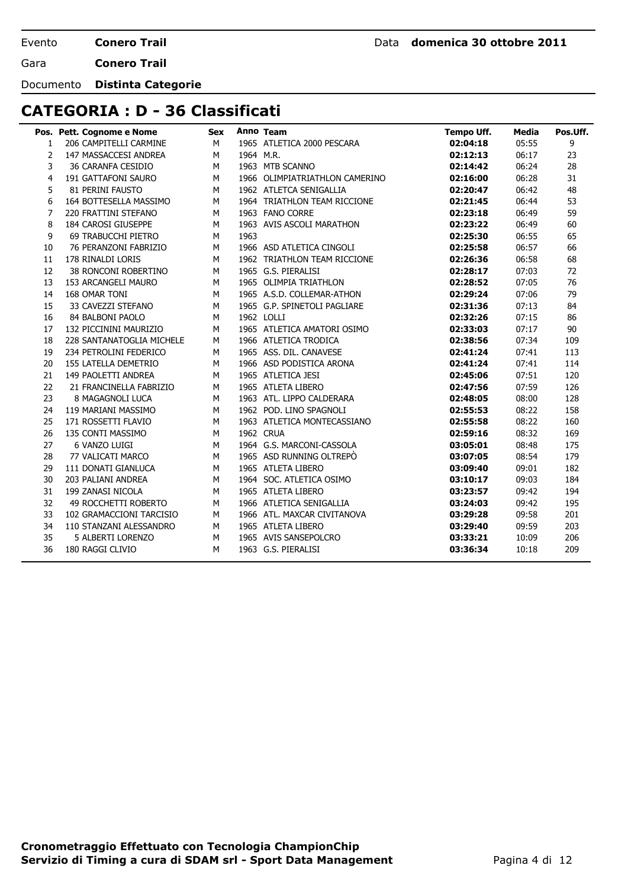**Conero Trail**

Gara **Conero Trail**

Documento **Distinta Categorie**

# **CATEGORIA : D - 36 Classificati**

|    | Pos. Pett. Cognome e Nome | <b>Sex</b> |           | Anno Team                      | <b>Tempo Uff.</b> | Media | Pos.Uff. |
|----|---------------------------|------------|-----------|--------------------------------|-------------------|-------|----------|
| 1  | 206 CAMPITELLI CARMINE    | M          |           | 1965 ATLETICA 2000 PESCARA     | 02:04:18          | 05:55 | 9        |
| 2  | 147 MASSACCESI ANDREA     | M          | 1964 M.R. |                                | 02:12:13          | 06:17 | 23       |
| 3  | 36 CARANFA CESIDIO        | М          |           | 1963 MTB SCANNO                | 02:14:42          | 06:24 | 28       |
| 4  | 191 GATTAFONI SAURO       | M          |           | 1966 OLIMPIATRIATHLON CAMERINO | 02:16:00          | 06:28 | 31       |
| 5  | 81 PERINI FAUSTO          | M          |           | 1962 ATLETCA SENIGALLIA        | 02:20:47          | 06:42 | 48       |
| 6  | 164 BOTTESELLA MASSIMO    | M          |           | 1964 TRIATHLON TEAM RICCIONE   | 02:21:45          | 06:44 | 53       |
| 7  | 220 FRATTINI STEFANO      | M          |           | 1963 FANO CORRE                | 02:23:18          | 06:49 | 59       |
| 8  | 184 CAROSI GIUSEPPE       | M          |           | 1963 AVIS ASCOLI MARATHON      | 02:23:22          | 06:49 | 60       |
| 9  | 69 TRABUCCHI PIETRO       | М          | 1963      |                                | 02:25:30          | 06:55 | 65       |
| 10 | 76 PERANZONI FABRIZIO     | M          |           | 1966 ASD ATLETICA CINGOLI      | 02:25:58          | 06:57 | 66       |
| 11 | 178 RINALDI LORIS         | M          |           | 1962 TRIATHLON TEAM RICCIONE   | 02:26:36          | 06:58 | 68       |
| 12 | 38 RONCONI ROBERTINO      | M          |           | 1965 G.S. PIERALISI            | 02:28:17          | 07:03 | 72       |
| 13 | 153 ARCANGELI MAURO       | M          |           | 1965 OLIMPIA TRIATHLON         | 02:28:52          | 07:05 | 76       |
| 14 | 168 OMAR TONI             | M          |           | 1965 A.S.D. COLLEMAR-ATHON     | 02:29:24          | 07:06 | 79       |
| 15 | 33 CAVEZZI STEFANO        | M          |           | 1965 G.P. SPINETOLI PAGLIARE   | 02:31:36          | 07:13 | 84       |
| 16 | 84 BALBONI PAOLO          | М          |           | 1962 LOLLI                     | 02:32:26          | 07:15 | 86       |
| 17 | 132 PICCININI MAURIZIO    | М          |           | 1965 ATLETICA AMATORI OSIMO    | 02:33:03          | 07:17 | 90       |
| 18 | 228 SANTANATOGLIA MICHELE | M          |           | 1966 ATLETICA TRODICA          | 02:38:56          | 07:34 | 109      |
| 19 | 234 PETROLINI FEDERICO    | М          |           | 1965 ASS. DIL. CANAVESE        | 02:41:24          | 07:41 | 113      |
| 20 | 155 LATELLA DEMETRIO      | M          |           | 1966 ASD PODISTICA ARONA       | 02:41:24          | 07:41 | 114      |
| 21 | 149 PAOLETTI ANDREA       | М          |           | 1965 ATLETICA JESI             | 02:45:06          | 07:51 | 120      |
| 22 | 21 FRANCINELLA FABRIZIO   | М          |           | 1965 ATLETA LIBERO             | 02:47:56          | 07:59 | 126      |
| 23 | 8 MAGAGNOLI LUCA          | М          |           | 1963 ATL. LIPPO CALDERARA      | 02:48:05          | 08:00 | 128      |
| 24 | 119 MARIANI MASSIMO       | М          |           | 1962 POD. LINO SPAGNOLI        | 02:55:53          | 08:22 | 158      |
| 25 | 171 ROSSETTI FLAVIO       | M          |           | 1963 ATLETICA MONTECASSIANO    | 02:55:58          | 08:22 | 160      |
| 26 | 135 CONTI MASSIMO         | M          |           | 1962 CRUA                      | 02:59:16          | 08:32 | 169      |
| 27 | 6 VANZO LUIGI             | M          |           | 1964 G.S. MARCONI-CASSOLA      | 03:05:01          | 08:48 | 175      |
| 28 | 77 VALICATI MARCO         | M          |           | 1965 ASD RUNNING OLTREPO       | 03:07:05          | 08:54 | 179      |
| 29 | 111 DONATI GIANLUCA       | М          |           | 1965 ATLETA LIBERO             | 03:09:40          | 09:01 | 182      |
| 30 | 203 PALIANI ANDREA        | M          |           | 1964 SOC. ATLETICA OSIMO       | 03:10:17          | 09:03 | 184      |
| 31 | 199 ZANASI NICOLA         | M          |           | 1965 ATLETA LIBERO             | 03:23:57          | 09:42 | 194      |
| 32 | 49 ROCCHETTI ROBERTO      | M          |           | 1966 ATLETICA SENIGALLIA       | 03:24:03          | 09:42 | 195      |
| 33 | 102 GRAMACCIONI TARCISIO  | М          |           | 1966 ATL, MAXCAR CIVITANOVA    | 03:29:28          | 09:58 | 201      |
| 34 | 110 STANZANI ALESSANDRO   | М          |           | 1965 ATLETA LIBERO             | 03:29:40          | 09:59 | 203      |
| 35 | 5 ALBERTI LORENZO         | М          |           | 1965 AVIS SANSEPOLCRO          | 03:33:21          | 10:09 | 206      |
| 36 | 180 RAGGI CLIVIO          | M          |           | 1963 G.S. PIERALISI            | 03:36:34          | 10:18 | 209      |
|    |                           |            |           |                                |                   |       |          |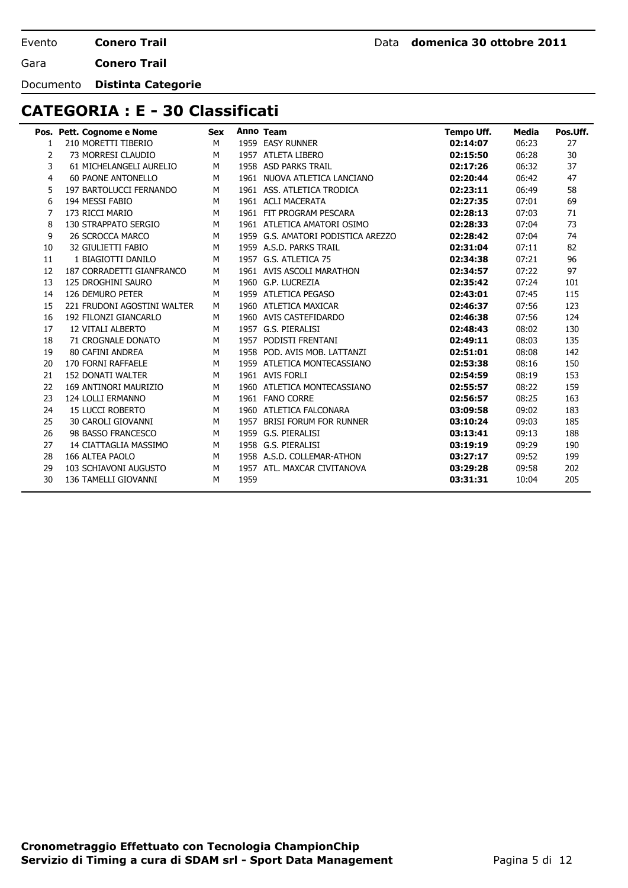**Conero Trail**

Gara **Conero Trail**

Documento **Distinta Categorie**

# **CATEGORIA : E - 30 Classificati**

|    | Pos. Pett. Cognome e Nome   | Sex |      | Anno Team                          | Tempo Uff. | Media | Pos.Uff. |
|----|-----------------------------|-----|------|------------------------------------|------------|-------|----------|
| 1  | 210 MORETTI TIBERIO         | M   |      | 1959 EASY RUNNER                   | 02:14:07   | 06:23 | 27       |
| 2  | 73 MORRESI CLAUDIO          | M   |      | 1957 ATLETA LIBERO                 | 02:15:50   | 06:28 | 30       |
| 3  | 61 MICHELANGELI AURELIO     | M   |      | 1958 ASD PARKS TRAIL               | 02:17:26   | 06:32 | 37       |
| 4  | <b>60 PAONE ANTONELLO</b>   | M   |      | 1961 NUOVA ATLETICA LANCIANO       | 02:20:44   | 06:42 | 47       |
| 5  | 197 BARTOLUCCI FERNANDO     | М   |      | 1961 ASS. ATLETICA TRODICA         | 02:23:11   | 06:49 | 58       |
| 6  | 194 MESSI FABIO             | M   |      | 1961 ACLI MACERATA                 | 02:27:35   | 07:01 | 69       |
| 7  | 173 RICCI MARIO             | M   |      | 1961 FIT PROGRAM PESCARA           | 02:28:13   | 07:03 | 71       |
| 8  | 130 STRAPPATO SERGIO        | M   |      | 1961 ATLETICA AMATORI OSIMO        | 02:28:33   | 07:04 | 73       |
| 9  | 26 SCROCCA MARCO            | M   |      | 1959 G.S. AMATORI PODISTICA AREZZO | 02:28:42   | 07:04 | 74       |
| 10 | 32 GIULIETTI FABIO          | М   |      | 1959 A.S.D. PARKS TRAIL            | 02:31:04   | 07:11 | 82       |
| 11 | 1 BIAGIOTTI DANILO          | M   |      | 1957 G.S. ATLETICA 75              | 02:34:38   | 07:21 | 96       |
| 12 | 187 CORRADETTI GIANFRANCO   | M   |      | 1961 AVIS ASCOLI MARATHON          | 02:34:57   | 07:22 | 97       |
| 13 | <b>125 DROGHINI SAURO</b>   | M   |      | 1960 G.P. LUCREZIA                 | 02:35:42   | 07:24 | 101      |
| 14 | 126 DEMURO PETER            | M   |      | 1959 ATLETICA PEGASO               | 02:43:01   | 07:45 | 115      |
| 15 | 221 FRUDONI AGOSTINI WALTER | M   |      | 1960 ATLETICA MAXICAR              | 02:46:37   | 07:56 | 123      |
| 16 | 192 FILONZI GIANCARLO       | M   |      | 1960 AVIS CASTEFIDARDO             | 02:46:38   | 07:56 | 124      |
| 17 | <b>12 VITALI ALBERTO</b>    | M   |      | 1957 G.S. PIERALISI                | 02:48:43   | 08:02 | 130      |
| 18 | 71 CROGNALE DONATO          | M   |      | 1957 PODISTI FRENTANI              | 02:49:11   | 08:03 | 135      |
| 19 | 80 CAFINI ANDREA            | M   |      | 1958 POD, AVIS MOB, LATTANZI       | 02:51:01   | 08:08 | 142      |
| 20 | 170 FORNI RAFFAELE          | M   |      | 1959 ATLETICA MONTECASSIANO        | 02:53:38   | 08:16 | 150      |
| 21 | <b>152 DONATI WALTER</b>    | M   |      | 1961 AVIS FORLI                    | 02:54:59   | 08:19 | 153      |
| 22 | 169 ANTINORI MAURIZIO       | M   |      | 1960 ATLETICA MONTECASSIANO        | 02:55:57   | 08:22 | 159      |
| 23 | 124 LOLLI ERMANNO           | М   |      | 1961 FANO CORRE                    | 02:56:57   | 08:25 | 163      |
| 24 | <b>15 LUCCI ROBERTO</b>     | M   |      | 1960 ATLETICA FALCONARA            | 03:09:58   | 09:02 | 183      |
| 25 | 30 CAROLI GIOVANNI          | M   |      | 1957 BRISI FORUM FOR RUNNER        | 03:10:24   | 09:03 | 185      |
| 26 | 98 BASSO FRANCESCO          | M   |      | 1959 G.S. PIERALISI                | 03:13:41   | 09:13 | 188      |
| 27 | 14 CIATTAGLIA MASSIMO       | M   |      | 1958 G.S. PIERALISI                | 03:19:19   | 09:29 | 190      |
| 28 | 166 ALTEA PAOLO             | M   |      | 1958 A.S.D. COLLEMAR-ATHON         | 03:27:17   | 09:52 | 199      |
| 29 | 103 SCHIAVONI AUGUSTO       | M   |      | 1957 ATL. MAXCAR CIVITANOVA        | 03:29:28   | 09:58 | 202      |
| 30 | 136 TAMELLI GIOVANNI        | M   | 1959 |                                    | 03:31:31   | 10:04 | 205      |
|    |                             |     |      |                                    |            |       |          |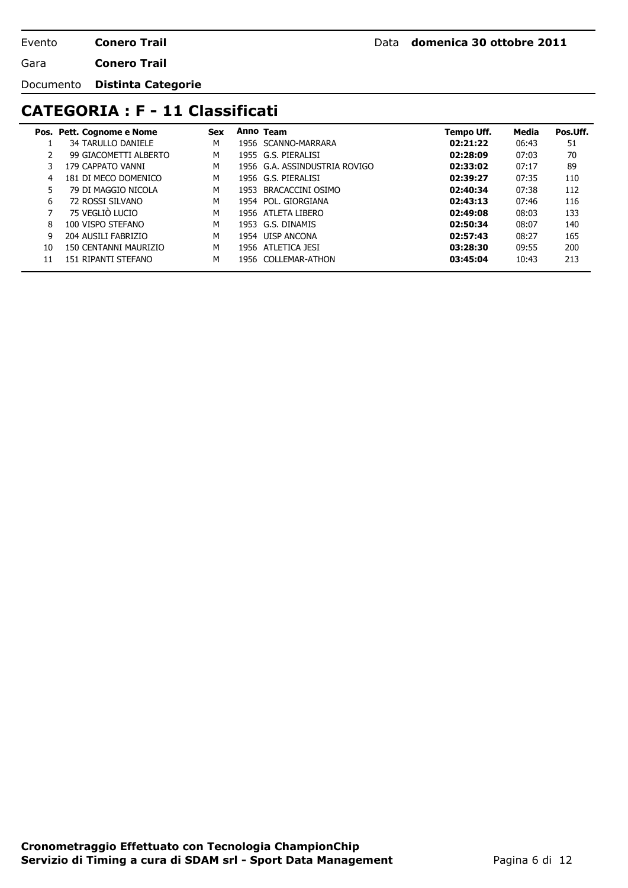Gara **Conero Trail**

Documento **Distinta Categorie**

### **CATEGORIA : F - 11 Classificati**

|    | Pos. Pett. Cognome e Nome | <b>Sex</b> |      | Anno Team                     | Tempo Uff. | Media | Pos.Uff. |
|----|---------------------------|------------|------|-------------------------------|------------|-------|----------|
|    | <b>34 TARULLO DANIELE</b> | M          |      | 1956 SCANNO-MARRARA           | 02:21:22   | 06:43 | 51       |
|    | 99 GIACOMETTI ALBERTO     | M          |      | 1955 G.S. PIERALISI           | 02:28:09   | 07:03 | 70       |
|    | 179 CAPPATO VANNI         | M          |      | 1956 G.A. ASSINDUSTRIA ROVIGO | 02:33:02   | 07:17 | 89       |
| 4  | 181 DI MECO DOMENICO      | M          |      | 1956 G.S. PIERALISI           | 02:39:27   | 07:35 | 110      |
| 5  | 79 DI MAGGIO NICOLA       | M          | 1953 | BRACACCINI OSIMO              | 02:40:34   | 07:38 | 112      |
| 6  | 72 ROSSI SILVANO          | M          |      | 1954 POL. GIORGIANA           | 02:43:13   | 07:46 | 116      |
|    | 75 VEGLIO LUCIO           | M          |      | 1956 ATLETA LIBERO            | 02:49:08   | 08:03 | 133      |
| 8  | 100 VISPO STEFANO         | M          |      | 1953 G.S. DINAMIS             | 02:50:34   | 08:07 | 140      |
| 9  | 204 AUSILI FABRIZIO       | M          |      | 1954 UISP ANCONA              | 02:57:43   | 08:27 | 165      |
| 10 | 150 CENTANNI MAURIZIO     | M          |      | 1956 ATLETICA JESI            | 03:28:30   | 09:55 | 200      |
| 11 | 151 RIPANTI STEFANO       | M          |      | 1956 COLLEMAR-ATHON           | 03:45:04   | 10:43 | 213      |
|    |                           |            |      |                               |            |       |          |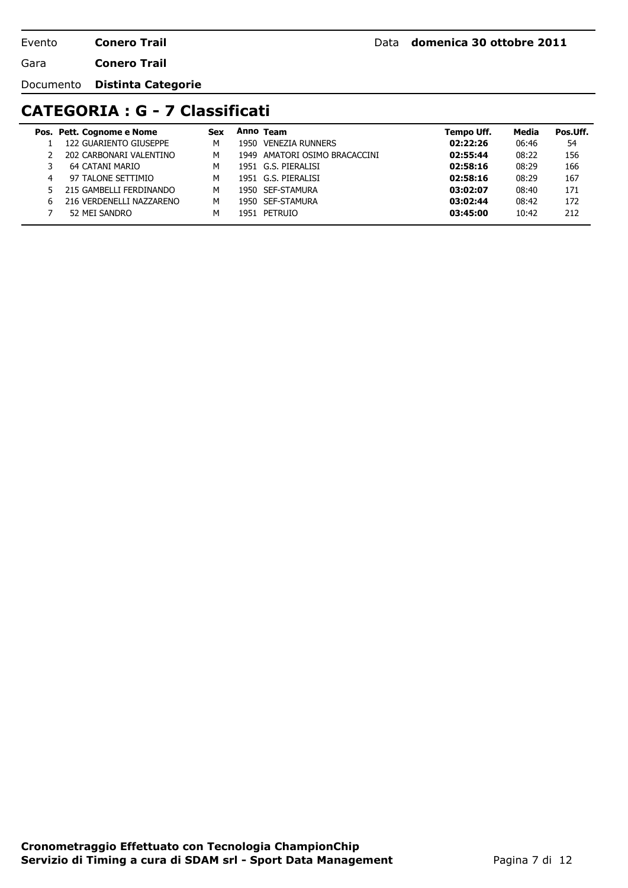Gara **Conero Trail**

Documento **Distinta Categorie**

#### **CATEGORIA : G - 7 Classificati**

|    | Pos. Pett. Cognome e Nome | <b>Sex</b> |      | Anno Team                     | Tempo Uff. | Media | Pos Uff. |
|----|---------------------------|------------|------|-------------------------------|------------|-------|----------|
|    | 122 GUARIENTO GIUSEPPE    | м          | 1950 | <b>VENEZIA RUNNERS</b>        | 02:22:26   | 06:46 | 54       |
|    | 202 CARBONARI VALENTINO   | м          |      | 1949 AMATORI OSIMO BRACACCINI | 02:55:44   | 08:22 | 156      |
|    | 64 CATANI MARIO           | м          |      | 1951 G.S. PIERALISI           | 02:58:16   | 08:29 | 166      |
| 4  | 97 TALONE SETTIMIO        | м          |      | 1951 G.S. PIERALISI           | 02:58:16   | 08:29 | 167      |
|    | 215 GAMBELLI FERDINANDO   | м          |      | 1950 SEF-STAMURA              | 03:02:07   | 08:40 | 171      |
| 6. | 216 VERDENELLI NAZZARENO  | м          |      | 1950 SEF-STAMURA              | 03:02:44   | 08:42 | 172      |
|    | 52 MEI SANDRO             | м          | 1951 | PETRUIO                       | 03:45:00   | 10:42 | 212      |
|    |                           |            |      |                               |            |       |          |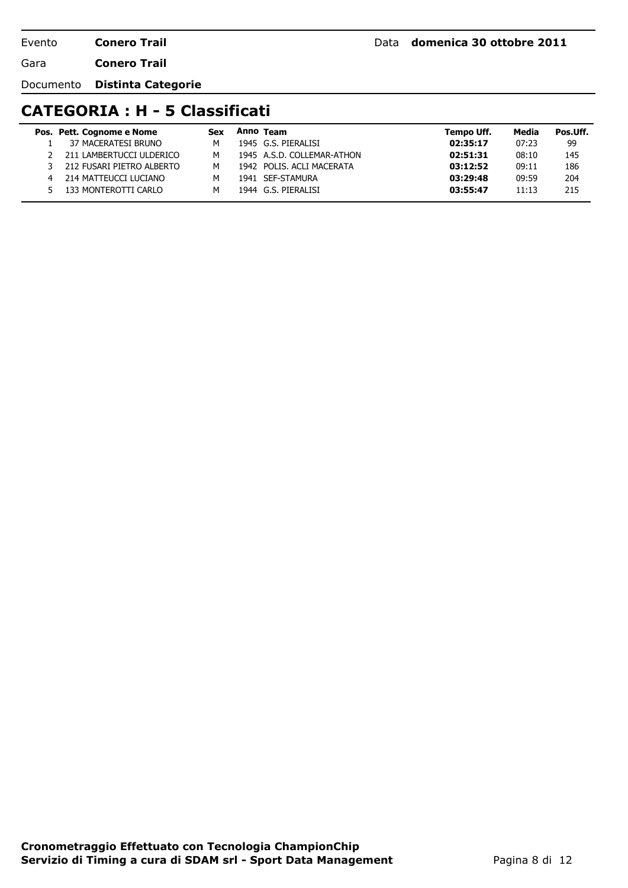Gara **Conero Trail**

Documento **Distinta Categorie**

# **CATEGORIA : H - 5 Classificati**

|   | Pos. Pett. Cognome e Nome | <b>Sex</b> | Anno Team                  | Tempo Uff. | Media | Pos.Uff. |
|---|---------------------------|------------|----------------------------|------------|-------|----------|
|   | 37 MACERATESI BRUNO       | м          | 1945 G.S. PIERALISI        | 02:35:17   | 07:23 | 99       |
|   | 211 LAMBERTUCCI ULDERICO  | м          | 1945 A.S.D. COLLEMAR-ATHON | 02:51:31   | 08:10 | 145      |
|   | 212 FUSARI PIETRO ALBERTO | м          | 1942 POLIS, ACLI MACERATA  | 03:12:52   | 09:11 | 186      |
| 4 | 214 MATTEUCCI LUCIANO     | м          | 1941 SEF-STAMURA           | 03:29:48   | 09:59 | 204      |
|   | 133 MONTEROTTI CARLO      | м          | 1944 G.S. PIERALISI        | 03:55:47   | 11:13 | 215      |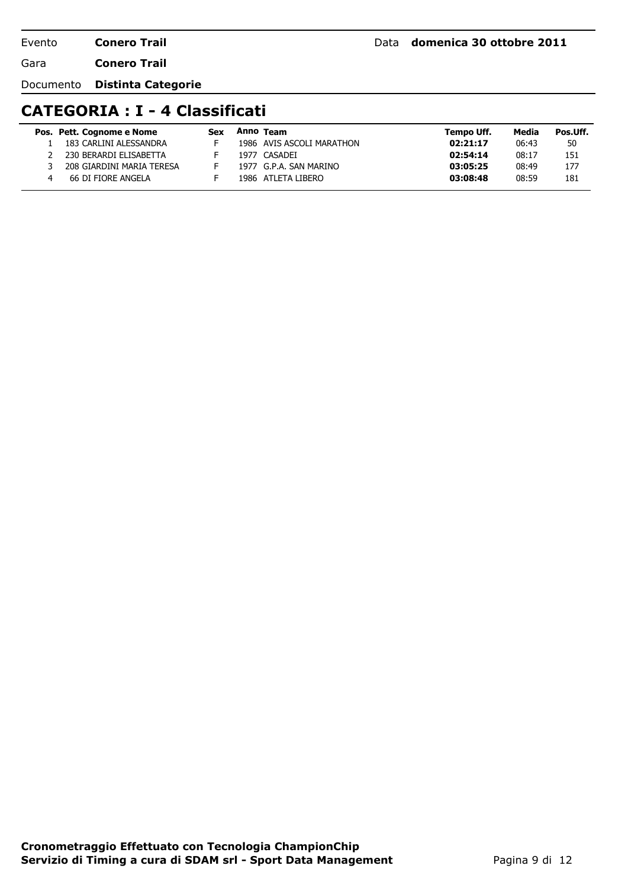Gara **Conero Trail**

Documento **Distinta Categorie**

#### **CATEGORIA : I - 4 Classificati**

| Pos. Pett. Cognome e Nome | Sex | Anno Team                 | Tempo Uff. | Media | Pos Uff. |
|---------------------------|-----|---------------------------|------------|-------|----------|
| 183 CARLINI ALESSANDRA    |     | 1986 AVIS ASCOLI MARATHON | 02:21:17   | 06:43 | 50       |
| 230 BERARDI ELISABETTA    |     | 1977 CASADEI              | 02:54:14   | 08:17 | 151      |
| 208 GIARDINI MARIA TERESA |     | 1977 G.P.A. SAN MARINO    | 03:05:25   | 08:49 | 177      |
| 66 DI FIORE ANGELA        |     | 1986 ATLETA LIBERO        | 03:08:48   | 08:59 | 181      |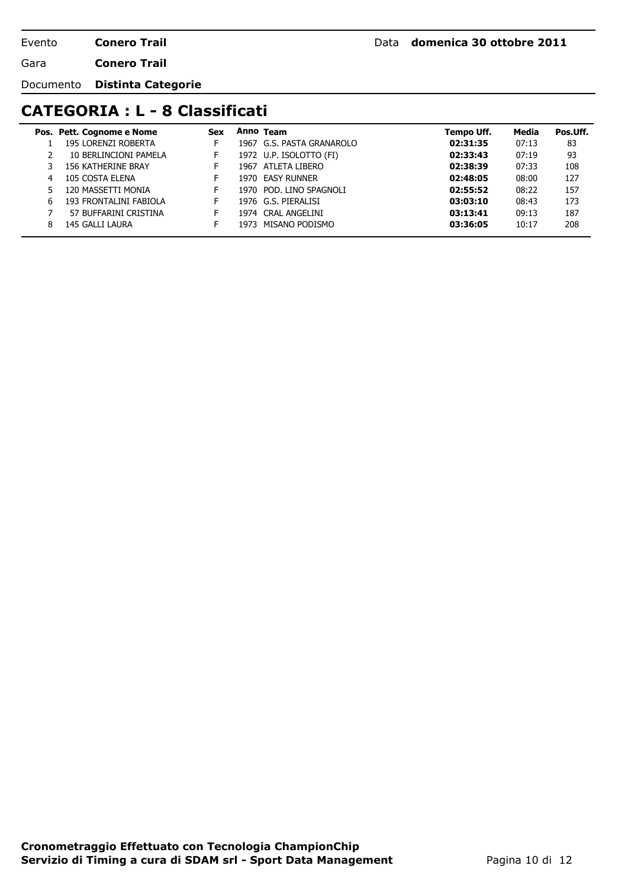Gara **Conero Trail**

Documento **Distinta Categorie**

# **CATEGORIA : L - 8 Classificati**

|    | Pos. Pett. Cognome e Nome | <b>Sex</b> | Anno Team                 | Tempo Uff. | Media | Pos.Uff. |
|----|---------------------------|------------|---------------------------|------------|-------|----------|
|    | 195 LORENZI ROBERTA       |            | 1967 G.S. PASTA GRANAROLO | 02:31:35   | 07:13 | 83       |
|    | 10 BERLINCIONI PAMELA     | Н.         | 1972 U.P. ISOLOTTO (FI)   | 02:33:43   | 07:19 | 93       |
|    | <b>156 KATHERINE BRAY</b> | н.         | 1967 ATLETA LIBERO        | 02:38:39   | 07:33 | 108      |
| 4  | 105 COSTA ELENA           |            | 1970 EASY RUNNER          | 02:48:05   | 08:00 | 127      |
| 5. | 120 MASSETTI MONIA        | F.         | 1970 POD. LINO SPAGNOLI   | 02:55:52   | 08:22 | 157      |
| 6  | 193 FRONTALINI FABIOLA    | F.         | 1976 G.S. PIERALISI       | 03:03:10   | 08:43 | 173      |
|    | 57 BUFFARINI CRISTINA     | F.         | 1974 CRAL ANGELINI        | 03:13:41   | 09:13 | 187      |
| 8  | 145 GALLI LAURA           |            | 1973 MISANO PODISMO       | 03:36:05   | 10:17 | 208      |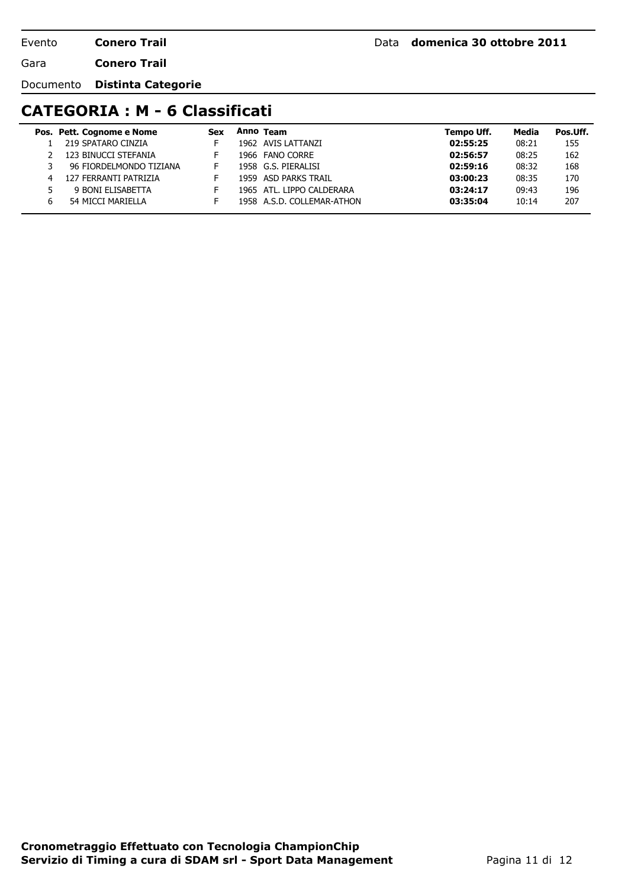Gara **Conero Trail**

Documento **Distinta Categorie**

# **CATEGORIA : M - 6 Classificati**

|   | Pos. Pett. Cognome e Nome | <b>Sex</b> | Anno Team                  | Tempo Uff. | Media | Pos Uff. |
|---|---------------------------|------------|----------------------------|------------|-------|----------|
|   | 219 SPATARO CINZIA        |            | 1962 AVIS LATTANZI         | 02:55:25   | 08:21 | 155      |
|   | 123 BINUCCI STEFANIA      |            | 1966 FANO CORRE            | 02:56:57   | 08:25 | 162      |
|   | 96 FIORDELMONDO TIZIANA   |            | 1958 G.S. PIERALISI        | 02:59:16   | 08:32 | 168      |
| 4 | 127 FERRANTI PATRIZIA     |            | 1959 ASD PARKS TRAIL       | 03:00:23   | 08:35 | 170      |
|   | 9 BONI ELISABETTA         |            | 1965 ATL. LIPPO CALDERARA  | 03:24:17   | 09:43 | 196      |
| h | 54 MICCI MARIELLA         |            | 1958 A.S.D. COLLEMAR-ATHON | 03:35:04   | 10:14 | 207      |
|   |                           |            |                            |            |       |          |